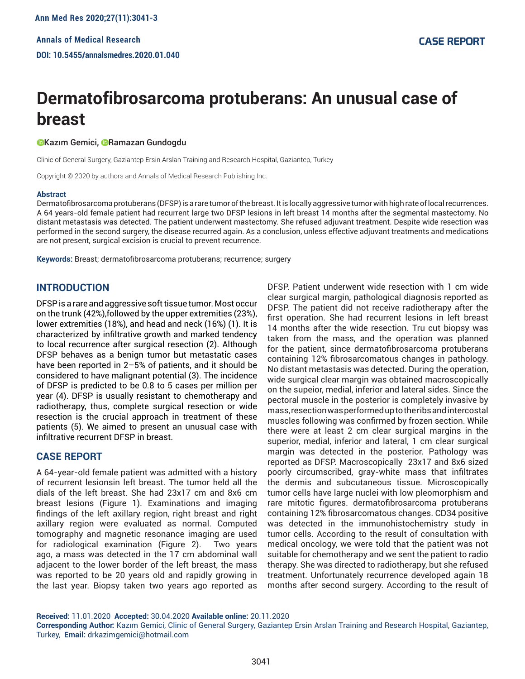# **Dermatofibrosarcoma protuberans: An unusual case of breast**

#### **OKazım Gemici, ORamazan Gundogdu**

Clinic of General Surgery, Gaziantep Ersin Arslan Training and Research Hospital, Gaziantep, Turkey

Copyright © 2020 by authors and Annals of Medical Research Publishing Inc.

#### **Abstract**

Dermatofibrosarcoma protuberans (DFSP) is a rare tumor of the breast. It is locally aggressive tumor with high rate of local recurrences. A 64 years-old female patient had recurrent large two DFSP lesions in left breast 14 months after the segmental mastectomy. No distant metastasis was detected. The patient underwent mastectomy. She refused adjuvant treatment. Despite wide resection was performed in the second surgery, the disease recurred again. As a conclusion, unless effective adjuvant treatments and medications are not present, surgical excision is crucial to prevent recurrence.

**Keywords:** Breast; dermatofibrosarcoma protuberans; recurrence; surgery

## **INTRODUCTION**

DFSP is a rare and aggressive soft tissue tumor. Most occur on the trunk (42%),followed by the upper extremities (23%), lower extremities (18%), and head and neck (16%) (1). It is characterized by infiltrative growth and marked tendency to local recurrence after surgical resection (2). Although DFSP behaves as a benign tumor but metastatic cases have been reported in 2–5% of patients, and it should be considered to have malignant potential (3). The incidence of DFSP is predicted to be 0.8 to 5 cases per million per year (4). DFSP is usually resistant to chemotherapy and radiotherapy, thus, complete surgical resection or wide resection is the crucial approach in treatment of these patients (5). We aimed to present an unusual case with infiltrative recurrent DFSP in breast.

## **CASE REPORT**

A 64-year-old female patient was admitted with a history of recurrent lesionsin left breast. The tumor held all the dials of the left breast. She had 23x17 cm and 8x6 cm breast lesions (Figure 1). Examinations and imaging findings of the left axillary region, right breast and right axillary region were evaluated as normal. Computed tomography and magnetic resonance imaging are used for radiological examination (Figure 2). Two years ago, a mass was detected in the 17 cm abdominal wall adjacent to the lower border of the left breast, the mass was reported to be 20 years old and rapidly growing in the last year. Biopsy taken two years ago reported as

DFSP. Patient underwent wide resection with 1 cm wide clear surgical margin, pathological diagnosis reported as DFSP. The patient did not receive radiotherapy after the first operation. She had recurrent lesions in left breast 14 months after the wide resection. Tru cut biopsy was taken from the mass, and the operation was planned for the patient, since dermatofibrosarcoma protuberans containing 12% fibrosarcomatous changes in pathology. No distant metastasis was detected. During the operation, wide surgical clear margin was obtained macroscopically on the supeior, medial, inferior and lateral sides. Since the pectoral muscle in the posterior is completely invasive by mass, resection was performed up to the ribs and intercostal muscles following was confirmed by frozen section. While there were at least 2 cm clear surgical margins in the superior, medial, inferior and lateral, 1 cm clear surgical margin was detected in the posterior. Pathology was reported as DFSP. Macroscopically 23x17 and 8x6 sized poorly circumscribed, gray-white mass that infiltrates the dermis and subcutaneous tissue. Microscopically tumor cells have large nuclei with low pleomorphism and rare mitotic figures. dermatofibrosarcoma protuberans containing 12% fibrosarcomatous changes. CD34 positive was detected in the immunohistochemistry study in tumor cells. According to the result of consultation with medical oncology, we were told that the patient was not suitable for chemotherapy and we sent the patient to radio therapy. She was directed to radiotherapy, but she refused treatment. Unfortunately recurrence developed again 18 months after second surgery. According to the result of

**Received:** 11.01.2020 **Accepted:** 30.04.2020 **Available online:** 20.11.2020

**Corresponding Author:** Kazım Gemici, Clinic of General Surgery, Gaziantep Ersin Arslan Training and Research Hospital, Gaziantep, Turkey, **Email:** drkazimgemici@hotmail.com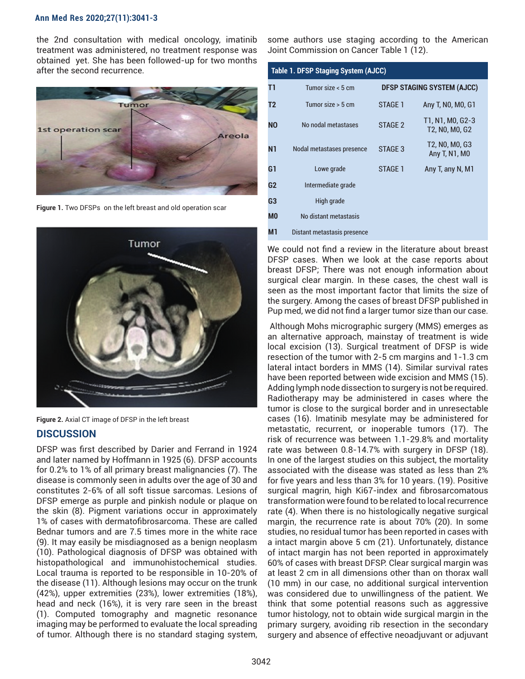### **Ann Med Res 2020;27(11):3041-3**

the 2nd consultation with medical oncology, imatinib treatment was administered, no treatment response was obtained yet. She has been followed-up for two months after the second recurrence.



**Figure 1.** Two DFSPs on the left breast and old operation scar



**Figure 2.** Axial CT image of DFSP in the left breast **DISCUSSION**

DFSP was first described by Darier and Ferrand in 1924 and later named by Hoffmann in 1925 (6). DFSP accounts for 0.2% to 1% of all primary breast malignancies (7). The disease is commonly seen in adults over the age of 30 and constitutes 2-6% of all soft tissue sarcomas. Lesions of DFSP emerge as purple and pinkish nodule or plaque on the skin (8). Pigment variations occur in approximately 1% of cases with dermatofibrosarcoma. These are called Bednar tumors and are 7.5 times more in the white race (9). It may easily be misdiagnosed as a benign neoplasm (10). Pathological diagnosis of DFSP was obtained with histopathological and immunohistochemical studies. Local trauma is reported to be responsible in 10-20% of the disease (11). Although lesions may occur on the trunk (42%), upper extremities (23%), lower extremities (18%), head and neck (16%), it is very rare seen in the breast (1). Computed tomography and magnetic resonance imaging may be performed to evaluate the local spreading of tumor. Although there is no standard staging system,

some authors use staging according to the American Joint Commission on Cancer Table 1 (12).

| <b>Table 1. DFSP Staging System (AJCC)</b> |                             |                                   |                                    |
|--------------------------------------------|-----------------------------|-----------------------------------|------------------------------------|
| T1                                         | Tumor size $< 5$ cm         | <b>DFSP STAGING SYSTEM (AJCC)</b> |                                    |
| T2                                         | Tumor size $>$ 5 cm         | STAGE 1                           | Any T, NO, MO, G1                  |
| <b>NO</b>                                  | No nodal metastases         | STAGF <sub>2</sub>                | T1, N1, M0, G2-3<br>T2, N0, M0, G2 |
| <b>N1</b>                                  | Nodal metastases presence   | STAGE 3                           | T2, N0, M0, G3<br>Any T, N1, M0    |
| G1                                         | Lowe grade                  | STAGE 1                           | Any T, any N, M1                   |
| G <sub>2</sub>                             | Intermediate grade          |                                   |                                    |
| G3                                         | High grade                  |                                   |                                    |
| M <sub>0</sub>                             | No distant metastasis       |                                   |                                    |
| Мı                                         | Distant metastasis presence |                                   |                                    |

We could not find a review in the literature about breast DFSP cases. When we look at the case reports about breast DFSP; There was not enough information about surgical clear margin. In these cases, the chest wall is seen as the most important factor that limits the size of the surgery. Among the cases of breast DFSP published in Pup med, we did not find a larger tumor size than our case.

 Although Mohs micrographic surgery (MMS) emerges as an alternative approach, mainstay of treatment is wide local excision (13). Surgical treatment of DFSP is wide resection of the tumor with 2-5 cm margins and 1-1.3 cm lateral intact borders in MMS (14). Similar survival rates have been reported between wide excision and MMS (15). Adding lymph node dissection to surgery is not be required. Radiotherapy may be administered in cases where the tumor is close to the surgical border and in unresectable cases (16). Imatinib mesylate may be administered for metastatic, recurrent, or inoperable tumors (17). The risk of recurrence was between 1.1-29.8% and mortality rate was between 0.8-14.7% with surgery in DFSP (18). In one of the largest studies on this subject, the mortality associated with the disease was stated as less than 2% for five years and less than 3% for 10 years. (19). Positive surgical magrin, high Ki67-index and fibrosarcomatous transformation were found to be related to local recurrence rate (4). When there is no histologically negative surgical margin, the recurrence rate is about 70% (20). In some studies, no residual tumor has been reported in cases with a intact margin above 5 cm (21). Unfortunately, distance of intact margin has not been reported in approximately 60% of cases with breast DFSP. Clear surgical margin was at least 2 cm in all dimensions other than on thorax wall (10 mm) in our case, no additional surgical intervention was considered due to unwillingness of the patient. We think that some potential reasons such as aggressive tumor histology, not to obtain wide surgical margin in the primary surgery, avoiding rib resection in the secondary surgery and absence of effective neoadjuvant or adjuvant